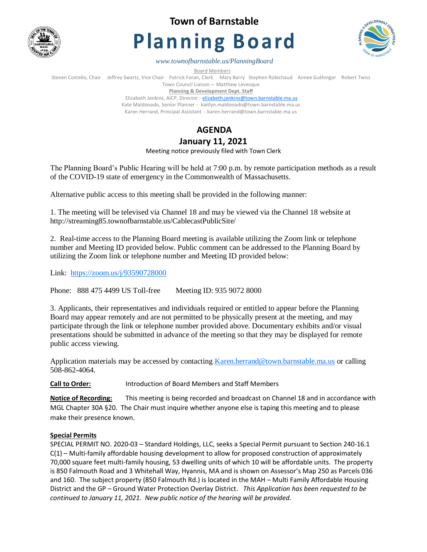

**Town of Barnstable**

# **Planning Board**



*www.townofbarnstable.us/PlanningBoard*

Board Members

Steven Costello, Chair Jeffrey Swartz, Vice Chair Patrick Foran, Clerk Mary Barry Stephen Robichaud Aimee Guthinger Robert Twiss Town Council Liaison – Matthew Levesque

**Planning & Development Dept. Staff** 

Elizabeth Jenkins, AICP, Director - [elizabeth.jenkins@town.barnstable.ma.us](mailto:elizabeth.jenkins@town.barnstable.ma.us) Kate Maldonado, Senior Planner - kaitlyn.maldonado@town.barnstable.ma.us Karen Herrand, Principal Assistant - karen.herrand@town.barnstable.ma.us

# **AGENDA**

## **January 11, 2021**

Meeting notice previously filed with Town Clerk

The Planning Board's Public Hearing will be held at 7:00 p.m. by remote participation methods as a result of the COVID-19 state of emergency in the Commonwealth of Massachusetts.

Alternative public access to this meeting shall be provided in the following manner:

1. The meeting will be televised via Channel 18 and may be viewed via the Channel 18 website at http://streaming85.townofbarnstable.us/CablecastPublicSite/

2. Real-time access to the Planning Board meeting is available utilizing the Zoom link or telephone number and Meeting ID provided below. Public comment can be addressed to the Planning Board by utilizing the Zoom link or telephone number and Meeting ID provided below:

Link: <https://zoom.us/j/93590728000>

Phone: 888 475 4499 US Toll-free Meeting ID: 935 9072 8000

3. Applicants, their representatives and individuals required or entitled to appear before the Planning Board may appear remotely and are not permitted to be physically present at the meeting, and may participate through the link or telephone number provided above. Documentary exhibits and/or visual presentations should be submitted in advance of the meeting so that they may be displayed for remote public access viewing.

Application materials may be accessed by contacting [Karen.herrand@town.barnstable.ma.us](mailto:Karen.herrand@town.barnstable.ma.us) or calling 508-862-4064.

**Call to Order:** Introduction of Board Members and Staff Members

**Notice of Recording:** This meeting is being recorded and broadcast on Channel 18 and in accordance with MGL Chapter 30A §20. The Chair must inquire whether anyone else is taping this meeting and to please make their presence known.

### **Special Permits**

SPECIAL PERMIT NO. 2020-03 – Standard Holdings, LLC, seeks a Special Permit pursuant to Section 240-16.1 C(1) – Multi-family affordable housing development to allow for proposed construction of approximately 70,000 square feet multi-family housing, 53 dwelling units of which 10 will be affordable units. The property is 850 Falmouth Road and 3 Whitehall Way, Hyannis, MA and is shown on Assessor's Map 250 as Parcels 036 and 160. The subject property (850 Falmouth Rd.) is located in the MAH – Multi Family Affordable Housing District and the GP – Ground Water Protection Overlay District. *This Application has been requested to be continued to January 11, 2021. New public notice of the hearing will be provided.*